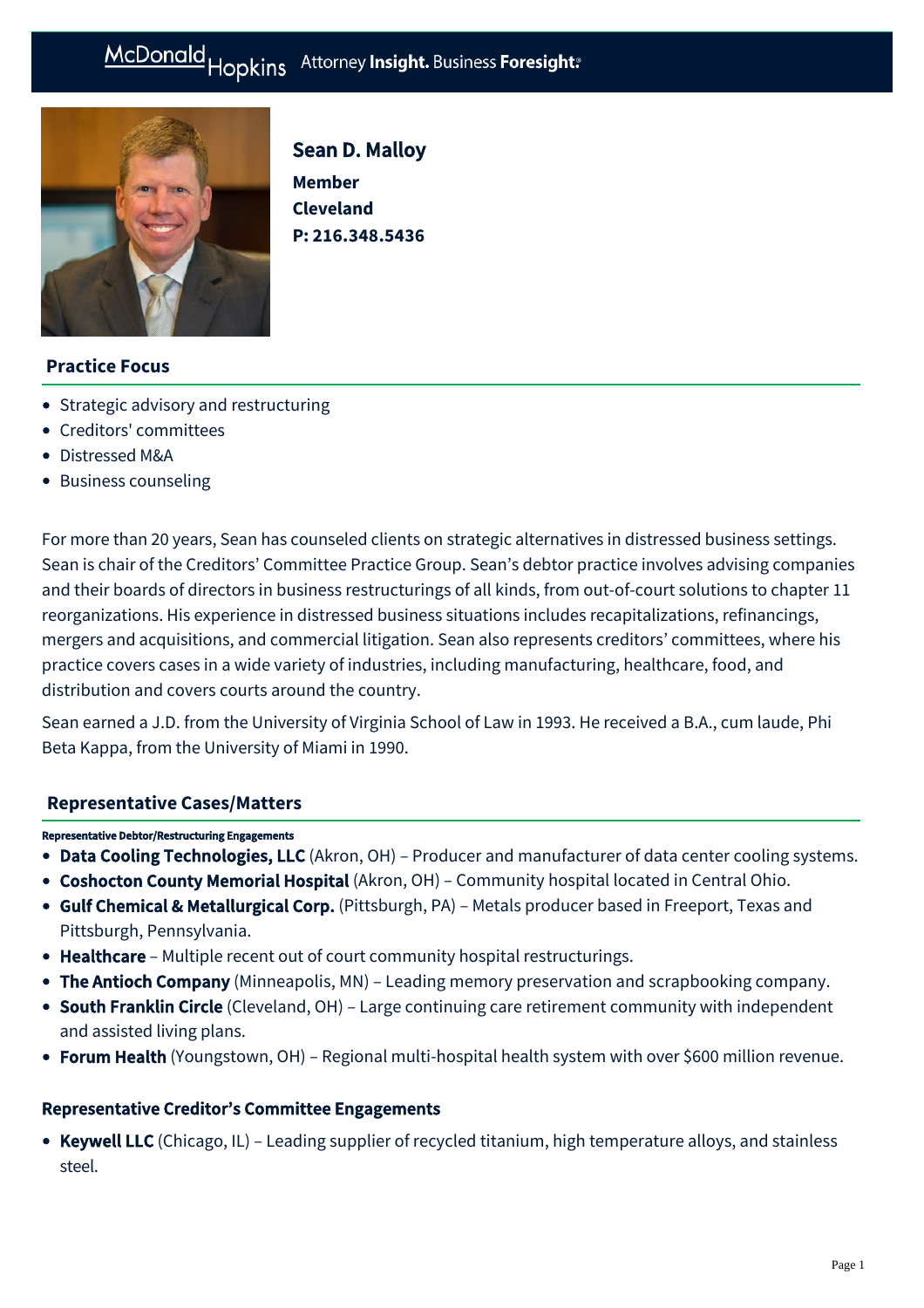# McDonald Hopkins Attorney Insight. Business Foresight:



Sean D. Malloy

**Member Cleveland P: [216.348.5436](tel:216.348.5436)**

# **Practice Focus**

- [Strategic advisory and restructuring](https://mcdonaldhopkins.com/Expertise/Strategic-advisory-and-restructuring)
- [Creditors' committees](https://mcdonaldhopkins.com/Expertise/Strategic-advisory-and-restructuring/Creditors-committees)
- [Distressed M&A](https://mcdonaldhopkins.com/Expertise/Strategic-advisory-and-restructuring/Distressed-M-A)
- [Business counseling](https://mcdonaldhopkins.com/Expertise/Business-counseling)

For more than 20 years, Sean has counseled clients on strategic alternatives in distressed business settings. Sean is chair of the Creditors' Committee Practice Group. Sean's debtor practice involves advising companies and their boards of directors in business restructurings of all kinds, from out-of-court solutions to chapter 11 reorganizations. His experience in distressed business situations includes recapitalizations, refinancings, mergers and acquisitions, and commercial litigation. Sean also represents creditors' committees, where his practice covers cases in a wide variety of industries, including manufacturing, healthcare, food, and distribution and covers courts around the country.

Sean earned a J.D. from the University of Virginia School of Law in 1993. He received a B.A., cum laude, Phi Beta Kappa, from the University of Miami in 1990.

### **[Representative Cases/Matters](#page-0-0)**

#### <span id="page-0-0"></span>Representative Debtor/Restructuring Engagements

- Data Cooling Technologies, LLC (Akron, OH) Producer and manufacturer of data center cooling systems.
- Coshocton County Memorial Hospital (Akron, OH) Community hospital located in Central Ohio.
- Gulf Chemical & Metallurgical Corp. (Pittsburgh, PA) Metals producer based in Freeport, Texas and Pittsburgh, Pennsylvania.
- Healthcare Multiple recent out of court community hospital restructurings.
- The Antioch Company (Minneapolis, MN) Leading memory preservation and scrapbooking company.
- South Franklin Circle (Cleveland, OH) Large continuing care retirement community with independent and assisted living plans.
- Forum Health (Youngstown, OH) Regional multi-hospital health system with over \$600 million revenue.

### Representative Creditor's Committee Engagements

• Keywell LLC (Chicago, IL) – Leading supplier of recycled titanium, high temperature alloys, and stainless steel.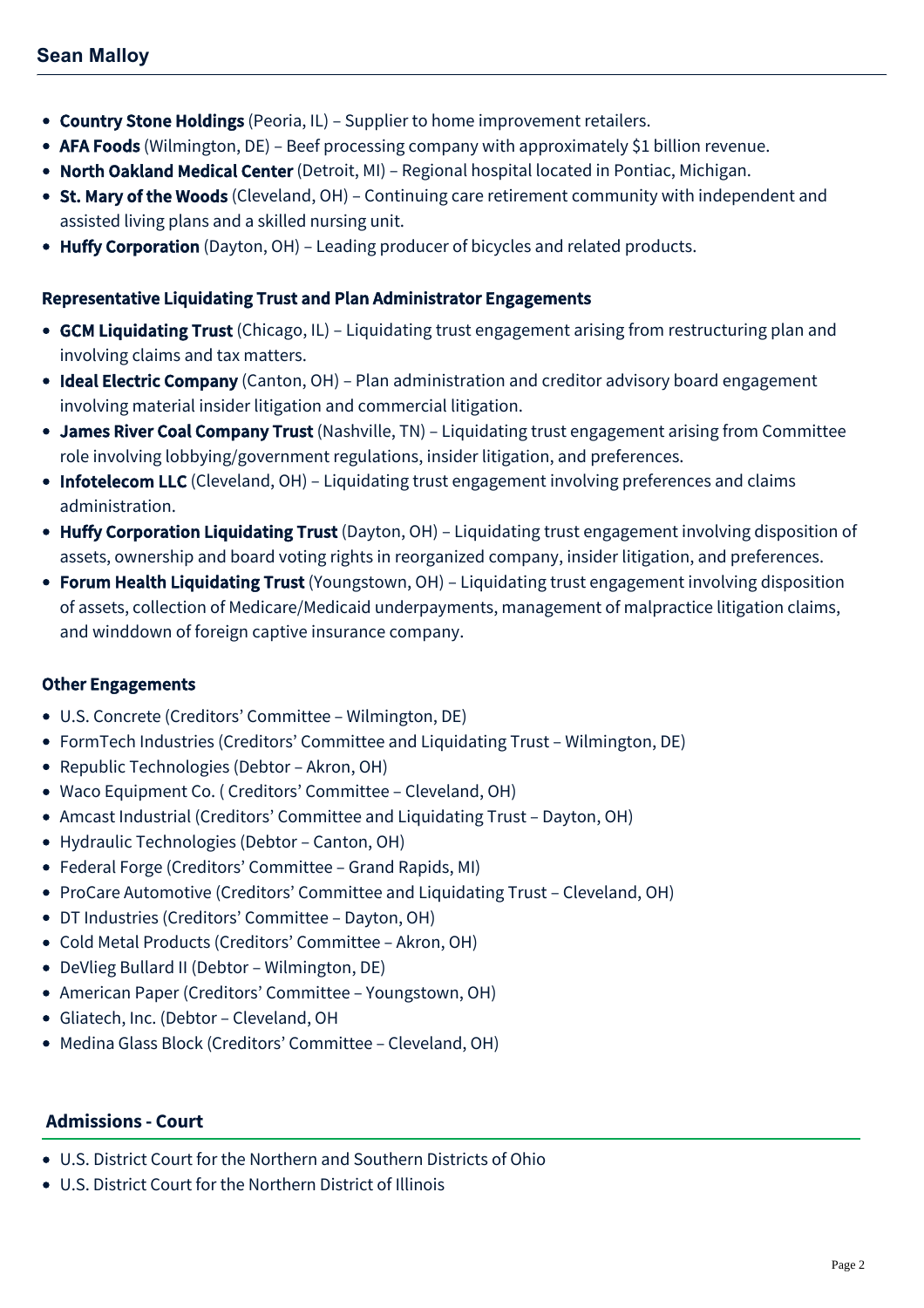- Country Stone Holdings (Peoria, IL) Supplier to home improvement retailers.
- AFA Foods (Wilmington, DE) Beef processing company with approximately \$1 billion revenue.
- North Oakland Medical Center (Detroit, MI) Regional hospital located in Pontiac, Michigan.
- St. Mary of the Woods (Cleveland, OH) Continuing care retirement community with independent and assisted living plans and a skilled nursing unit.
- Huffy Corporation (Dayton, OH) Leading producer of bicycles and related products.

## Representative Liquidating Trust and Plan Administrator Engagements

- GCM Liquidating Trust (Chicago, IL) Liquidating trust engagement arising from restructuring plan and involving claims and tax matters.
- Ideal Electric Company (Canton, OH) Plan administration and creditor advisory board engagement involving material insider litigation and commercial litigation.
- James River Coal Company Trust (Nashville, TN) Liquidating trust engagement arising from Committee role involving lobbying/government regulations, insider litigation, and preferences.
- Infotelecom LLC (Cleveland, OH) Liquidating trust engagement involving preferences and claims administration.
- Huffy Corporation Liquidating Trust (Dayton, OH) Liquidating trust engagement involving disposition of assets, ownership and board voting rights in reorganized company, insider litigation, and preferences.
- Forum Health Liquidating Trust (Youngstown, OH) Liquidating trust engagement involving disposition of assets, collection of Medicare/Medicaid underpayments, management of malpractice litigation claims, and winddown of foreign captive insurance company.

# Other Engagements

- U.S. Concrete (Creditors' Committee Wilmington, DE)
- FormTech Industries (Creditors' Committee and Liquidating Trust Wilmington, DE)
- Republic Technologies (Debtor Akron, OH)
- Waco Equipment Co. ( Creditors' Committee Cleveland, OH)
- Amcast Industrial (Creditors' Committee and Liquidating Trust Dayton, OH)
- Hydraulic Technologies (Debtor Canton, OH)
- Federal Forge (Creditors' Committee Grand Rapids, MI)
- ProCare Automotive (Creditors' Committee and Liquidating Trust Cleveland, OH)
- DT Industries (Creditors' Committee Dayton, OH)
- Cold Metal Products (Creditors' Committee Akron, OH)
- DeVlieg Bullard II (Debtor Wilmington, DE)
- American Paper (Creditors' Committee Youngstown, OH)
- Gliatech, Inc. (Debtor Cleveland, OH
- Medina Glass Block (Creditors' Committee Cleveland, OH)

# **Admissions - Court**

- U.S. District Court for the Northern and Southern Districts of Ohio
- U.S. District Court for the Northern District of Illinois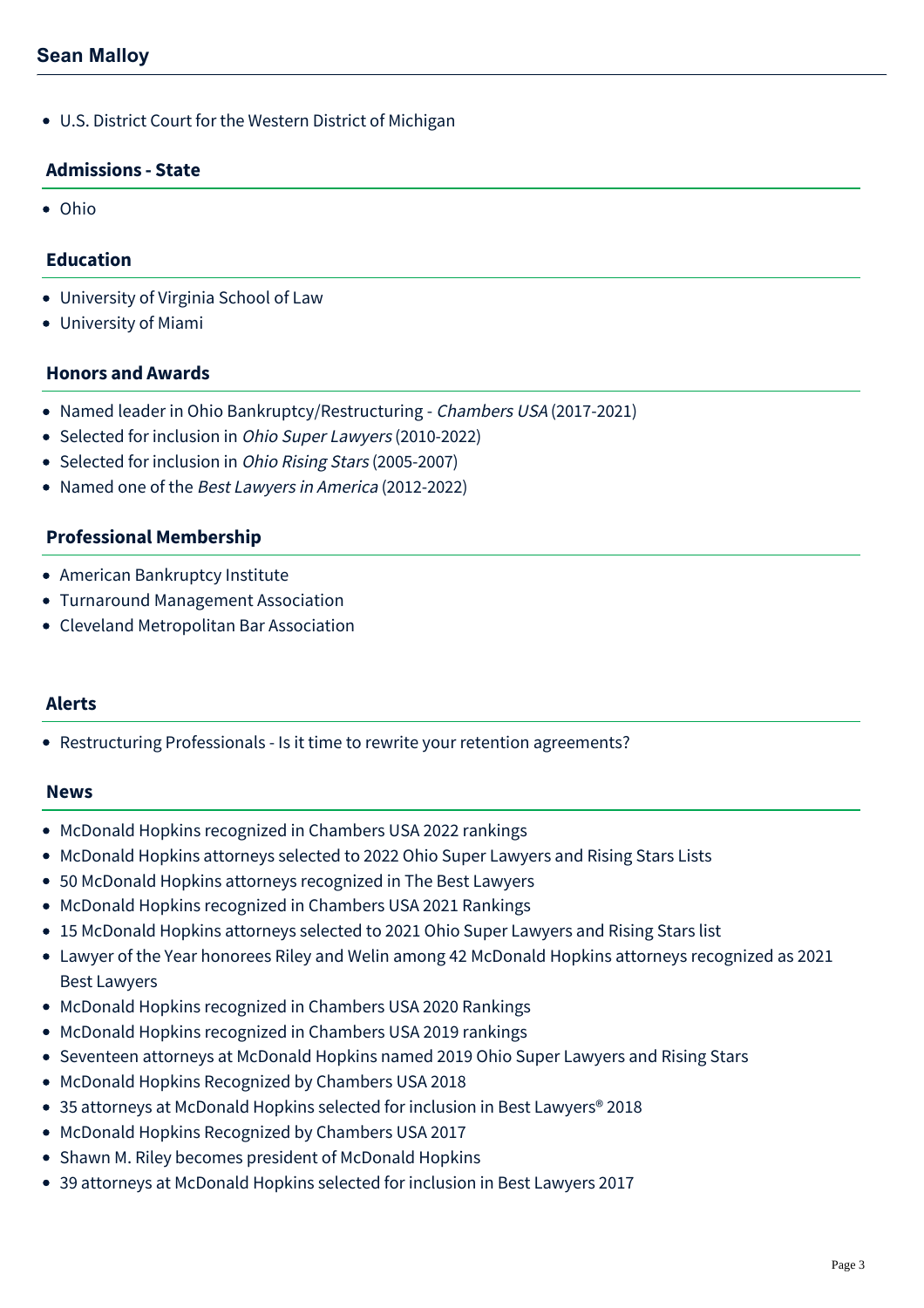U.S. District Court for the Western District of Michigan

## **Admissions - State**

Ohio

## **Education**

- University of Virginia School of Law
- University of Miami

## **Honors and Awards**

- Named leader in Ohio Bankruptcy/Restructuring Chambers USA (2017-2021)
- Selected for inclusion in Ohio Super Lawyers (2010-2022)
- Selected for inclusion in *Ohio Rising Stars* (2005-2007)
- Named one of the Best Lawyers in America (2012-2022)

## **Professional Membership**

- American Bankruptcy Institute
- Turnaround Management Association
- Cleveland Metropolitan Bar Association

### **Alerts**

[Restructuring Professionals - Is it time to rewrite your retention agreements?](https://mcdonaldhopkins.com/Insights/July-2016/Restructuring-Professionals-Is-it-time-to-rewrite)

#### **News**

- [McDonald Hopkins recognized in Chambers USA 2022 rankings](https://mcdonaldhopkins.com/Insights/June-2022/McDonald-Hopkins-recognized-in-Chambers-USA-2022)
- [McDonald Hopkins attorneys selected to 2022 Ohio Super Lawyers and Rising Stars Lists](https://mcdonaldhopkins.com/Insights/December-2021/McDonald-Hopkins-Ohio-Super-Lawyers)
- [50 McDonald Hopkins attorneys recognized in The Best Lawyers](https://mcdonaldhopkins.com/Insights/August-2021/50-McDonald-Hopkins-attorneys-recognized-in-The-Be)
- [McDonald Hopkins recognized in Chambers USA 2021 Rankings](https://mcdonaldhopkins.com/Insights/May-2021/McDonald-Hopkins-recognized-in-Chambers-USA-2021-R)
- [15 McDonald Hopkins attorneys selected to 2021 Ohio Super Lawyers and Rising Stars list](https://mcdonaldhopkins.com/Insights/December-2020/15-McDonald-Hopkins-attorneys-selected-to-2021-Ohi)
- [Lawyer of the Year honorees Riley and Welin among 42 McDonald Hopkins attorneys recognized as 2021](https://mcdonaldhopkins.com/Insights/August-2020/Lawyer-of-the-Year-honorees-Riley-and-Welin-among) Best Lawyers
- [McDonald Hopkins recognized in Chambers USA 2020 Rankings](https://mcdonaldhopkins.com/Insights/April-2020/McDonald-Hopkins-recognized-in-Chambers-USA-2020-R)
- [McDonald Hopkins recognized in Chambers USA 2019 rankings](https://mcdonaldhopkins.com/Insights/April-2019/McDonald-Hopkins-recognized-in-Chambers-USA-2019-r)
- [Seventeen attorneys at McDonald Hopkins named 2019 Ohio Super Lawyers and Rising Stars](https://mcdonaldhopkins.com/Insights/December-2018/Seventeen-attorneys-at-McDonald-Hopkins-named-2019)
- [McDonald Hopkins Recognized by Chambers USA 2018](https://mcdonaldhopkins.com/Insights/May-2018/McDonald-Hopkins-Recognized-by-Chambers-USA-2018)
- [35 attorneys at McDonald Hopkins selected for inclusion in Best Lawyers® 2018](https://mcdonaldhopkins.com/Insights/August-2017/35-attorneys-at-McDonald-Hopkins-selected-for-incl)
- [McDonald Hopkins Recognized by Chambers USA 2017](https://mcdonaldhopkins.com/Insights/May-2017/McDonald-Hopkins-Recognized-by-Chambers-USA-2017)
- [Shawn M. Riley becomes president of McDonald Hopkins](https://mcdonaldhopkins.com/Insights/October-2016/Shawn-M-Riley-becomes-president-of-McDonald-Hopkin)
- [39 attorneys at McDonald Hopkins selected for inclusion in Best Lawyers 2017](https://mcdonaldhopkins.com/Insights/August-2016/39-attorneys-at-McDonald-Hopkins-selected-for-incl)